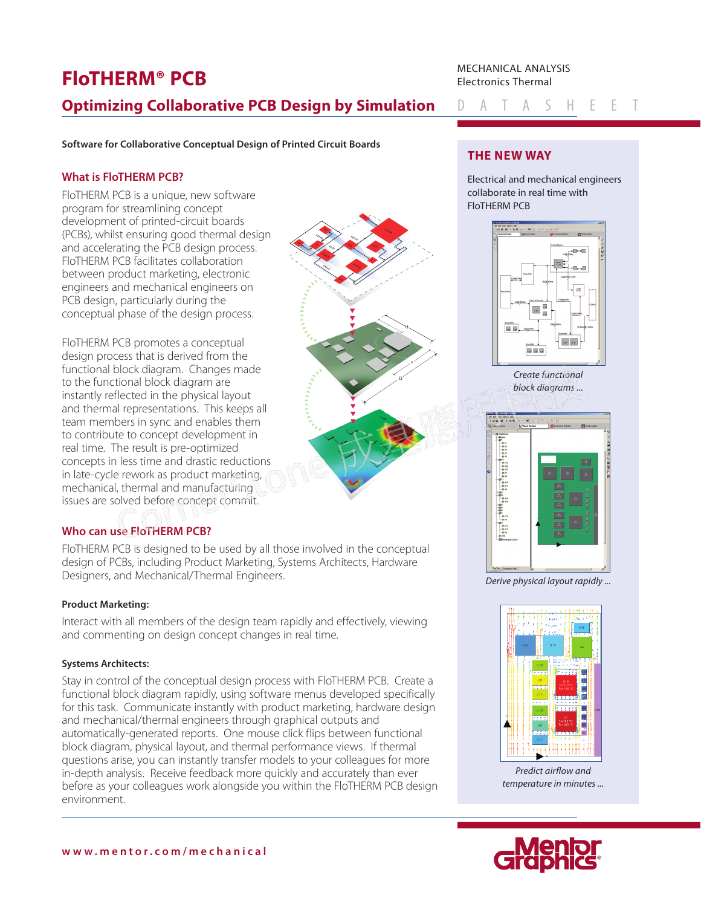# **FloTHERM® PCB Optimizing Collaborative PCB Design by Simulation**

MECHANICAL ANALYSIS Electronics Thermal

**Software for Collaborative Conceptual Design of Printed Circuit Boards**

## **What is FloTHERM PCB?**

FloTHERM PCB is a unique, new software program for streamlining concept development of printed-circuit boards (PCBs), whilst ensuring good thermal design and accelerating the PCB design process. FloTHERM PCB facilitates collaboration between product marketing, electronic engineers and mechanical engineers on PCB design, particularly during the conceptual phase of the design process.

FloTHERM PCB promotes a conceptual design process that is derived from the functional block diagram. Changes made to the functional block diagram are instantly reflected in the physical layout and thermal representations. This keeps all team members in sync and enables them to contribute to concept development in real time. The result is pre-optimized concepts in less time and drastic reductions in late-cycle rework as product marketing, mechanical, thermal and manufacturing issues are solved before concept commit.

## **Who can use FloTHERM PCB?**

[FloTHERM PCB is designed to be used by all those involved in the conceptual](https://corner-stone.com.tw)  design of PCBs, including Product Marketing, Systems Architects, Hardware Designers, and Mechanical/Thermal Engineers.

### **Product Marketing:**

Interact with all members of the design team rapidly and effectively, viewing and commenting on design concept changes in real time.

### **Systems Architects:**

Stay in control of the conceptual design process with FloTHERM PCB. Create a functional block diagram rapidly, using software menus developed specifically for this task. Communicate instantly with product marketing, hardware design and mechanical/thermal engineers through graphical outputs and automatically-generated reports. One mouse click flips between functional block diagram, physical layout, and thermal performance views. If thermal questions arise, you can instantly transfer models to your colleagues for more in-depth analysis. Receive feedback more quickly and accurately than ever before as your colleagues work alongside you within the FloTHERM PCB design environment.

# **THE NEW WAY**

Electrical and mechanical engineers collaborate in real time with FloTHERM PCB

Datasheet



*Create functional block diagrams ...*



*Derive physical layout rapidly ...*



*Predict airflow and temperature in minutes ...*